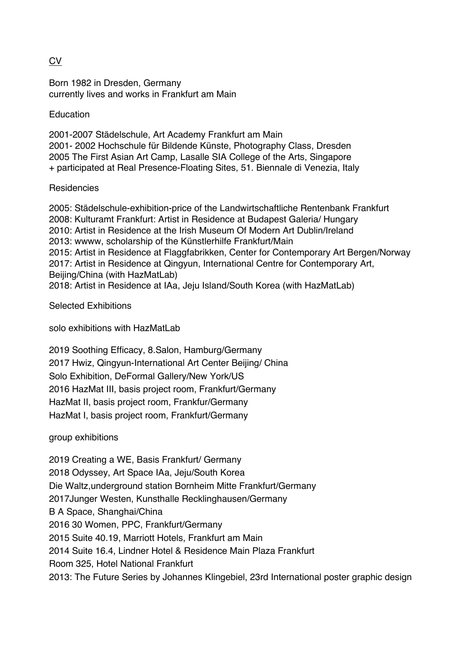## CV

Born 1982 in Dresden, Germany currently lives and works in Frankfurt am Main

Education

2001-2007 Städelschule, Art Academy Frankfurt am Main 2001- 2002 Hochschule für Bildende Künste, Photography Class, Dresden 2005 The First Asian Art Camp, Lasalle SIA College of the Arts, Singapore + participated at Real Presence-Floating Sites, 51. Biennale di Venezia, Italy

## **Residencies**

2005: Städelschule-exhibition-price of the Landwirtschaftliche Rentenbank Frankfurt 2008: Kulturamt Frankfurt: Artist in Residence at Budapest Galeria/ Hungary 2010: Artist in Residence at the Irish Museum Of Modern Art Dublin/Ireland 2013: wwww, scholarship of the Künstlerhilfe Frankfurt/Main 2015: Artist in Residence at Flaggfabrikken, Center for Contemporary Art Bergen/Norway 2017: Artist in Residence at Qingyun, International Centre for Contemporary Art, Beijing/China (with HazMatLab) 2018: Artist in Residence at IAa, Jeju Island/South Korea (with HazMatLab)

Selected Exhibitions

solo exhibitions with HazMatLab

2019 Soothing Efficacy, 8.Salon, Hamburg/Germany 2017 Hwiz, Qingyun-International Art Center Beijing/ China Solo Exhibition, DeFormal Gallery/New York/US 2016 HazMat III, basis project room, Frankfurt/Germany HazMat II, basis project room, Frankfur/Germany HazMat I, basis project room, Frankfurt/Germany

## group exhibitions

2019 Creating a WE, Basis Frankfurt/ Germany 2018 Odyssey, Art Space IAa, Jeju/South Korea Die Waltz,underground station Bornheim Mitte Frankfurt/Germany 2017Junger Westen, Kunsthalle Recklinghausen/Germany B A Space, Shanghai/China 2016 30 Women, PPC, Frankfurt/Germany 2015 Suite 40.19, Marriott Hotels, Frankfurt am Main 2014 Suite 16.4, Lindner Hotel & Residence Main Plaza Frankfurt Room 325, Hotel National Frankfurt 2013: The Future Series by Johannes Klingebiel, 23rd International poster graphic design